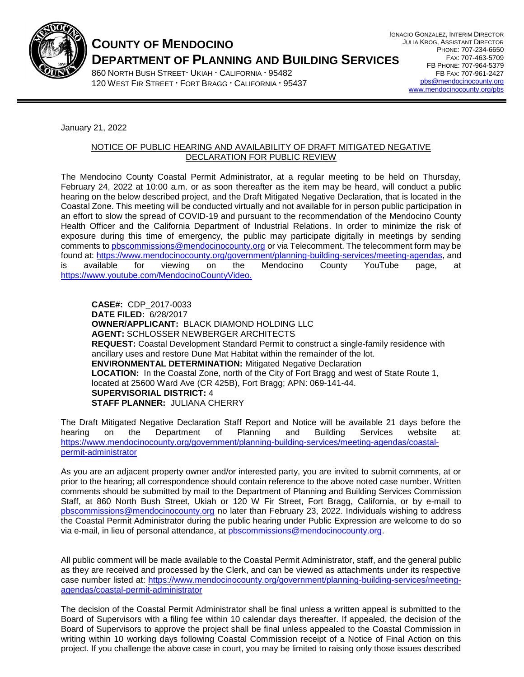

# **COUNTY OF MENDOCINO DEPARTMENT OF PLANNING AND BUILDING SERVICES**

860 NORTH BUSH STREET ' UKIAH ' CALIFORNIA ' 95482 120 WEST FIR STREET **FORT BRAGG · CALIFORNIA · 95437** 

January 21, 2022

### NOTICE OF PUBLIC HEARING AND AVAILABILITY OF DRAFT MITIGATED NEGATIVE DECLARATION FOR PUBLIC REVIEW

The Mendocino County Coastal Permit Administrator, at a regular meeting to be held on Thursday, February 24, 2022 at 10:00 a.m. or as soon thereafter as the item may be heard, will conduct a public hearing on the below described project, and the Draft Mitigated Negative Declaration, that is located in the Coastal Zone. This meeting will be conducted virtually and not available for in person public participation in an effort to slow the spread of COVID-19 and pursuant to the recommendation of the Mendocino County Health Officer and the California Department of Industrial Relations. In order to minimize the risk of exposure during this time of emergency, the public may participate digitally in meetings by sending comments t[o pbscommissions@mendocinocounty.org](mailto:pbscommissions@mendocinocounty.org) or via Telecomment. The telecomment form may be found at: [https://www.mendocinocounty.org/government/planning-building-services/meeting-agendas,](https://www.mendocinocounty.org/government/planning-building-services/meeting-agendas) and is available for viewing on the Mendocino County YouTube page, at [https://www.youtube.com/MendocinoCountyVideo.](https://www.youtube.com/MendocinoCountyVideo)

**CASE#:** CDP\_2017-0033 **DATE FILED:** 6/28/2017 **OWNER/APPLICANT:** BLACK DIAMOND HOLDING LLC **AGENT:** SCHLOSSER NEWBERGER ARCHITECTS **REQUEST:** Coastal Development Standard Permit to construct a single-family residence with ancillary uses and restore Dune Mat Habitat within the remainder of the lot. **ENVIRONMENTAL DETERMINATION:** Mitigated Negative Declaration **LOCATION:** In the Coastal Zone, north of the City of Fort Bragg and west of State Route 1, located at 25600 Ward Ave (CR 425B), Fort Bragg; APN: 069-141-44. **SUPERVISORIAL DISTRICT:** 4 **STAFF PLANNER:** JULIANA CHERRY

The Draft Mitigated Negative Declaration Staff Report and Notice will be available 21 days before the hearing on the Department of Planning and Building Services website at: [https://www.mendocinocounty.org/government/planning-building-services/meeting-agendas/coastal](https://www.mendocinocounty.org/government/planning-building-services/meeting-agendas/coastal-permit-administrator)[permit-administrator](https://www.mendocinocounty.org/government/planning-building-services/meeting-agendas/coastal-permit-administrator)

As you are an adjacent property owner and/or interested party, you are invited to submit comments, at or prior to the hearing; all correspondence should contain reference to the above noted case number. Written comments should be submitted by mail to the Department of Planning and Building Services Commission Staff, at 860 North Bush Street, Ukiah or 120 W Fir Street, Fort Bragg, California, or by e-mail to [pbscommissions@mendocinocounty.org](mailto:pbscommissions@mendocinocounty.org) no later than February 23, 2022. Individuals wishing to address the Coastal Permit Administrator during the public hearing under Public Expression are welcome to do so via e-mail, in lieu of personal attendance, at [pbscommissions@mendocinocounty.org.](mailto:pbscommissions@mendocinocounty.org)

All public comment will be made available to the Coastal Permit Administrator, staff, and the general public as they are received and processed by the Clerk, and can be viewed as attachments under its respective case number listed at: [https://www.mendocinocounty.org/government/planning-building-services/meeting](https://www.mendocinocounty.org/government/planning-building-services/meeting-agendas/coastal-permit-administrator)[agendas/coastal-permit-administrator](https://www.mendocinocounty.org/government/planning-building-services/meeting-agendas/coastal-permit-administrator)

The decision of the Coastal Permit Administrator shall be final unless a written appeal is submitted to the Board of Supervisors with a filing fee within 10 calendar days thereafter. If appealed, the decision of the Board of Supervisors to approve the project shall be final unless appealed to the Coastal Commission in writing within 10 working days following Coastal Commission receipt of a Notice of Final Action on this project. If you challenge the above case in court, you may be limited to raising only those issues described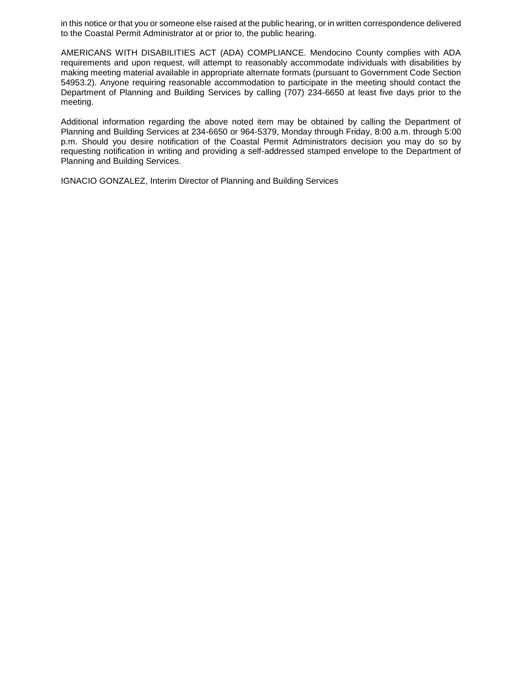in this notice or that you or someone else raised at the public hearing, or in written correspondence delivered to the Coastal Permit Administrator at or prior to, the public hearing.

AMERICANS WITH DISABILITIES ACT (ADA) COMPLIANCE. Mendocino County complies with ADA requirements and upon request, will attempt to reasonably accommodate individuals with disabilities by making meeting material available in appropriate alternate formats (pursuant to Government Code Section 54953.2). Anyone requiring reasonable accommodation to participate in the meeting should contact the Department of Planning and Building Services by calling (707) 234-6650 at least five days prior to the meeting.

Additional information regarding the above noted item may be obtained by calling the Department of Planning and Building Services at 234-6650 or 964-5379, Monday through Friday, 8:00 a.m. through 5:00 p.m. Should you desire notification of the Coastal Permit Administrators decision you may do so by requesting notification in writing and providing a self-addressed stamped envelope to the Department of Planning and Building Services.

IGNACIO GONZALEZ, Interim Director of Planning and Building Services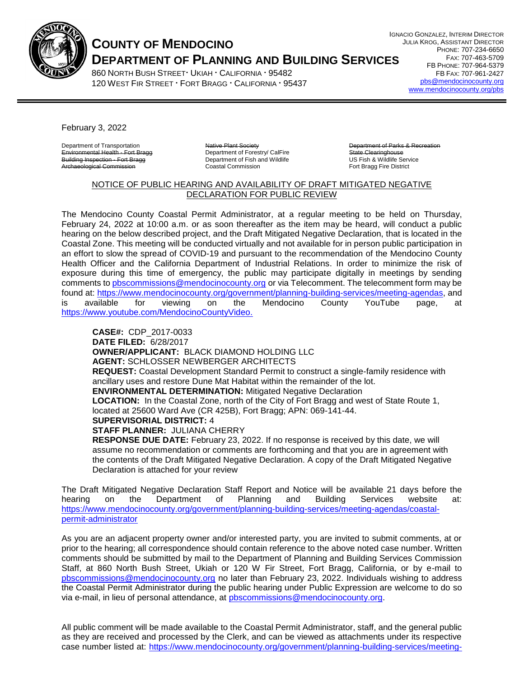

## **COUNTY OF MENDOCINO DEPARTMENT OF PLANNING AND BUILDING SERVICES**

860 NORTH BUSH STREET UKIAH · CALIFORNIA · 95482 120 WEST FIR STREET **FORT BRAGG · CALIFORNIA · 95437**  IGNACIO GONZALEZ, INTERIM DIRECTOR JULIA KROG, ASSISTANT DIRECTOR PHONE: 707-234-6650 FAX: 707-463-5709 FB PHONE: 707-964-5379 FB FAX: 707-961-2427 [pbs@mendocinocounty.org](mailto:pbs@mendocinocounty.org) [www.mendocinocounty.org/pbs](http://www.mendocinocounty.org/pbs)

February 3, 2022

Department of Transportation Environmental Health - Fort Bragg Building Inspection - Fort Bragg ological Commission

Native Plant Society Department of Forestry/ CalFire Department of Fish and Wildlife Coastal Commission

Department of Parks & Recreation State Clearinghouse US Fish & Wildlife Service Fort Bragg Fire District

### NOTICE OF PUBLIC HEARING AND AVAILABILITY OF DRAFT MITIGATED NEGATIVE DECLARATION FOR PUBLIC REVIEW

The Mendocino County Coastal Permit Administrator, at a regular meeting to be held on Thursday, February 24, 2022 at 10:00 a.m. or as soon thereafter as the item may be heard, will conduct a public hearing on the below described project, and the Draft Mitigated Negative Declaration, that is located in the Coastal Zone. This meeting will be conducted virtually and not available for in person public participation in an effort to slow the spread of COVID-19 and pursuant to the recommendation of the Mendocino County Health Officer and the California Department of Industrial Relations. In order to minimize the risk of exposure during this time of emergency, the public may participate digitally in meetings by sending comments to [pbscommissions@mendocinocounty.org](mailto:pbscommissions@mendocinocounty.org) or via Telecomment. The telecomment form may be found at: [https://www.mendocinocounty.org/government/planning-building-services/meeting-agendas,](https://www.mendocinocounty.org/government/planning-building-services/meeting-agendas) and is available for viewing on the Mendocino County YouTube page, at [https://www.youtube.com/MendocinoCountyVideo.](https://www.youtube.com/MendocinoCountyVideo)

**CASE#:** CDP\_2017-0033 **DATE FILED:** 6/28/2017 **OWNER/APPLICANT:** BLACK DIAMOND HOLDING LLC **AGENT:** SCHLOSSER NEWBERGER ARCHITECTS **REQUEST:** Coastal Development Standard Permit to construct a single-family residence with ancillary uses and restore Dune Mat Habitat within the remainder of the lot. **ENVIRONMENTAL DETERMINATION:** Mitigated Negative Declaration **LOCATION:** In the Coastal Zone, north of the City of Fort Bragg and west of State Route 1, located at 25600 Ward Ave (CR 425B), Fort Bragg; APN: 069-141-44. **SUPERVISORIAL DISTRICT:** 4 **STAFF PLANNER:** JULIANA CHERRY **RESPONSE DUE DATE:** February 23, 2022. If no response is received by this date, we will assume no recommendation or comments are forthcoming and that you are in agreement with

the contents of the Draft Mitigated Negative Declaration. A copy of the Draft Mitigated Negative Declaration is attached for your review

The Draft Mitigated Negative Declaration Staff Report and Notice will be available 21 days before the hearing on the Department of Planning and Building Services website at: [https://www.mendocinocounty.org/government/planning-building-services/meeting-agendas/coastal](https://www.mendocinocounty.org/government/planning-building-services/meeting-agendas/coastal-permit-administrator)[permit-administrator](https://www.mendocinocounty.org/government/planning-building-services/meeting-agendas/coastal-permit-administrator)

As you are an adjacent property owner and/or interested party, you are invited to submit comments, at or prior to the hearing; all correspondence should contain reference to the above noted case number. Written comments should be submitted by mail to the Department of Planning and Building Services Commission Staff, at 860 North Bush Street, Ukiah or 120 W Fir Street, Fort Bragg, California, or by e-mail to [pbscommissions@mendocinocounty.org](mailto:pbscommissions@mendocinocounty.org) no later than February 23, 2022. Individuals wishing to address the Coastal Permit Administrator during the public hearing under Public Expression are welcome to do so via e-mail, in lieu of personal attendance, at [pbscommissions@mendocinocounty.org.](mailto:pbscommissions@mendocinocounty.org)

All public comment will be made available to the Coastal Permit Administrator, staff, and the general public as they are received and processed by the Clerk, and can be viewed as attachments under its respective case number listed at: [https://www.mendocinocounty.org/government/planning-building-services/meeting-](https://www.mendocinocounty.org/government/planning-building-services/meeting-agendas/coastal-permit-administrator)